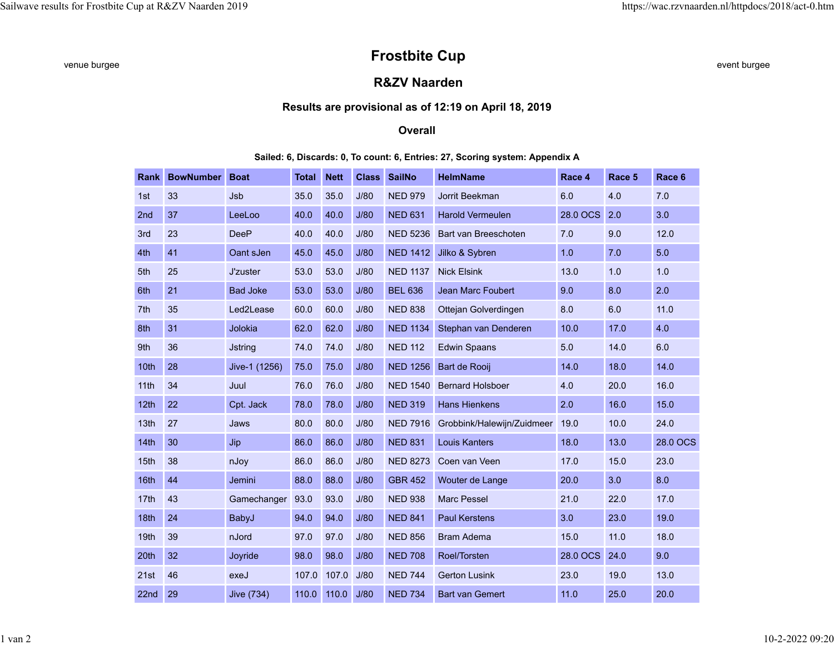# venue burgee **example and the set of the set of the STOST STOST Different comparison of the set of the set of the set of the set of the set of the set of the set of the set of the set of the set of the set of the set of th**

## **R&ZV Naarden**

#### **Results are provisional as of 12:19 on April 18, 2019**

#### **Overall**

#### **Sailed: 6, Discards: 0, To count: 6, Entries: 27, Scoring system: Appendix A**

| <b>Rank</b> | <b>BowNumber</b> | <b>Boat</b>     | <b>Total</b> | <b>Nett</b> | <b>Class</b> | <b>SailNo</b>   | <b>HelmName</b>            | Race 4   | Race 5 | Race 6   |
|-------------|------------------|-----------------|--------------|-------------|--------------|-----------------|----------------------------|----------|--------|----------|
| 1st         | 33               | Jsb             | 35.0         | 35.0        | J/80         | <b>NED 979</b>  | Jorrit Beekman             | 6.0      | 4.0    | 7.0      |
| 2nd         | 37               | LeeLoo          | 40.0         | 40.0        | J/80         | <b>NED 631</b>  | <b>Harold Vermeulen</b>    | 28.0 OCS | 2.0    | 3.0      |
| 3rd         | 23               | <b>DeeP</b>     | 40.0         | 40.0        | J/80         | <b>NED 5236</b> | Bart van Breeschoten       | 7.0      | 9.0    | 12.0     |
| 4th         | 41               | Oant sJen       | 45.0         | 45.0        | J/80         | <b>NED 1412</b> | Jilko & Sybren             | 1.0      | 7.0    | 5.0      |
| 5th         | 25               | J'zuster        | 53.0         | 53.0        | J/80         | <b>NED 1137</b> | <b>Nick Elsink</b>         | 13.0     | 1.0    | 1.0      |
| 6th         | 21               | <b>Bad Joke</b> | 53.0         | 53.0        | J/80         | <b>BEL 636</b>  | Jean Marc Foubert          | 9.0      | 8.0    | 2.0      |
| 7th         | 35               | Led2Lease       | 60.0         | 60.0        | J/80         | <b>NED 838</b>  | Ottejan Golverdingen       | 8.0      | 6.0    | 11.0     |
| 8th         | 31               | Jolokia         | 62.0         | 62.0        | J/80         | <b>NED 1134</b> | Stephan van Denderen       | 10.0     | 17.0   | 4.0      |
| 9th         | 36               | <b>Jstring</b>  | 74.0         | 74.0        | J/80         | <b>NED 112</b>  | <b>Edwin Spaans</b>        | 5.0      | 14.0   | 6.0      |
| 10th        | 28               | Jive-1 (1256)   | 75.0         | 75.0        | J/80         | <b>NED 1256</b> | Bart de Rooij              | 14.0     | 18.0   | 14.0     |
| 11th        | 34               | Juul            | 76.0         | 76.0        | J/80         | <b>NED 1540</b> | <b>Bernard Holsboer</b>    | 4.0      | 20.0   | 16.0     |
| 12th        | 22               | Cpt. Jack       | 78.0         | 78.0        | J/80         | <b>NED 319</b>  | <b>Hans Hienkens</b>       | 2.0      | 16.0   | 15.0     |
| 13th        | 27               | Jaws            | 80.0         | 80.0        | J/80         | <b>NED 7916</b> | Grobbink/Halewijn/Zuidmeer | 19.0     | 10.0   | 24.0     |
| 14th        | 30               | Jip             | 86.0         | 86.0        | J/80         | <b>NED 831</b>  | <b>Louis Kanters</b>       | 18.0     | 13.0   | 28.0 OCS |
| 15th        | 38               | nJoy            | 86.0         | 86.0        | J/80         | <b>NED 8273</b> | Coen van Veen              | 17.0     | 15.0   | 23.0     |
| 16th        | 44               | Jemini          | 88.0         | 88.0        | J/80         | <b>GBR 452</b>  | Wouter de Lange            | 20.0     | 3.0    | 8.0      |
| 17th        | 43               | Gamechanger     | 93.0         | 93.0        | J/80         | <b>NED 938</b>  | <b>Marc Pessel</b>         | 21.0     | 22.0   | 17.0     |
| 18th        | 24               | BabyJ           | 94.0         | 94.0        | J/80         | <b>NED 841</b>  | <b>Paul Kerstens</b>       | 3.0      | 23.0   | 19.0     |
| 19th        | 39               | nJord           | 97.0         | 97.0        | J/80         | <b>NED 856</b>  | <b>Bram Adema</b>          | 15.0     | 11.0   | 18.0     |
| 20th        | 32               | Joyride         | 98.0         | 98.0        | J/80         | <b>NED 708</b>  | Roel/Torsten               | 28.0 OCS | 24.0   | 9.0      |
| 21st        | 46               | exeJ            | 107.0        | 107.0       | J/80         | <b>NED 744</b>  | <b>Gerton Lusink</b>       | 23.0     | 19.0   | 13.0     |
| 22nd        | 29               | Jive (734)      | 110.0        | 110.0       | J/80         | <b>NED 734</b>  | <b>Bart van Gemert</b>     | 11.0     | 25.0   | 20.0     |